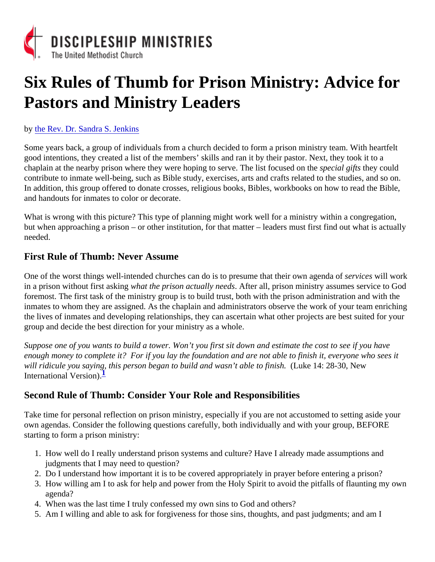# Six Rules of Thumb for Prison Ministry: Advice for Pastors and Ministry Leaders

#### by [the Rev. Dr. Sandra S. Jenk](www.coachingcorner.com)ins

Some years back, a group of individuals from a church decided to form a prison ministry team. With heartfelt good intentions, they created a list of the members' skills and ran it by their pastor. Next, they took it to a chaplain at the nearby prison where they were hoping to serve. The list focused perthe gifts they could contribute to inmate well-being, such as Bible study, exercises, arts and crafts related to the studies, and so o In addition, this group offered to donate crosses, religious books, Bibles, workbooks on how to read the Bible and handouts for inmates to color or decorate.

What is wrong with this picture? This type of planning might work well for a ministry within a congregation, but when approaching a prison – or other institution, for that matter – leaders must first find out what is actual needed.

## First Rule of Thumb: Never Assume

One of the worst things well-intended churches can do is to presume that their own agenda and work in a prison without first asking hat the prison actually need after all, prison ministry assumes service to God foremost. The first task of the ministry group is to build trust, both with the prison administration and with the inmates to whom they are assigned. As the chaplain and administrators observe the work of your team enrich the lives of inmates and developing relationships, they can ascertain what other projects are best suited for your group and decide the best direction for your ministry as a whole.

Suppose one of you wants to build a tower. Won't you first sit down and estimate the cost to see if you have enough money to complete if for if you lay the foundation and are not able to finish it, everyone who sees it will ridicule you saying, this person began to build and wasn't able to finish ke 14: 28-30, New International Version.

## Second Rule of Thumb: Consider Your Role and Responsibilities

Take time for personal reflection on prison ministry, especially if you are not accustomed to setting aside your own agendas. Consider the following questions carefully, both individually and with your group, BEFORE starting to form a prison ministry:

- 1. How well do I really understand prison systems and culture? Have I already made assumptions and judgments that I may need to question?
- 2. Do I understand how important it is to be covered appropriately in prayer before entering a prison?
- 3. How willing am I to ask for help and power from the Holy Spirit to avoid the pitfalls of flaunting my own agenda?
- 4. When was the last time I truly confessed my own sins to God and others?
- 5. Am I willing and able to ask for forgiveness for those sins, thoughts, and past judgments; and am I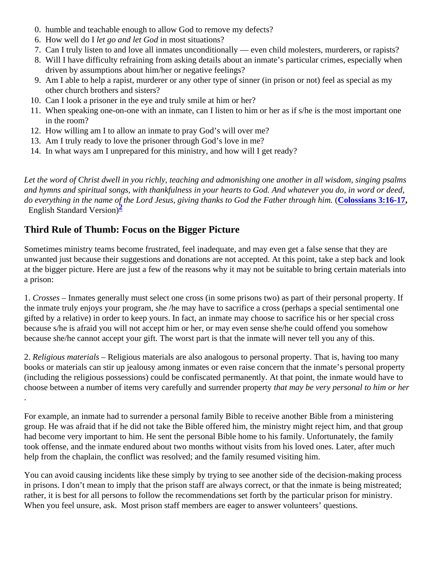- 0. humble and teachable enough to allow God to remove my defects?
- 6. How well do I let go and let Godh most situations?
- 7. Can I truly listen to and love all inmates unconditionally even child molesters, murderers, or rapists?
- 8. Will I have difficulty refraining from asking details about an inmate's particular crimes, especially when driven by assumptions about him/her or negative feelings?
- 9. Am I able to help a rapist, murderer or any other type of sinner (in prison or not) feel as special as my other church brothers and sisters?
- 10. Can I look a prisoner in the eye and truly smile at him or her?
- 11. When speaking one-on-one with an inmate, can I listen to him or her as if s/he is the most important on in the room?
- 12. How willing am I to allow an inmate to pray God's will over me?
- 13. Am I truly ready to love the prisoner through God's love in me?
- 14. In what ways am I unprepared for this ministry, and how will I get ready?

Let the word of Christ dwell in you richly, teaching and admonishing one another in all wisdom, singing psalm and hymns and spiritual songs, with thankfulness in your hearts to God. And whatever you do, in word or dee do everything in the name of the Lord Jesus[,](https://www.biblegateway.com/passage/?search=Colossians+3:16-17&version=ESV) giving thanks to God the Father through haims 3:16-17 English Standard Version)

## Third Rule of Thumb: Focus on the Bigger Picture

Sometimes ministry teams become frustrated, feel inadequate, and may even get a false sense that they are unwanted just because their suggestions and donations are not accepted. At this point, take a step back and at the bigger picture. Here are just a few of the reasons why it may not be suitable to bring certain materials in a prison:

1. Crosses Inmates generally must select one cross (in some prisons two) as part of their personal property. the inmate truly enjoys your program, she /he may have to sacrifice a cross (perhaps a special sentimental or gifted by a relative) in order to keep yours. In fact, an inmate may choose to sacrifice his or her special cross because s/he is afraid you will not accept him or her, or may even sense she/he could offend you somehow because she/he cannot accept your gift. The worst part is that the inmate will never tell you any of this.

2. Religious materials Religious materials are also analogous to personal property. That is, having too many books or materials can stir up jealousy among inmates or even raise concern that the inmate's personal property (including the religious possessions) could be confiscated permanently. At that point, the inmate would have t choose between a number of items very carefully and surrender proposity be very personal to him or her .

For example, an inmate had to surrender a personal family Bible to receive another Bible from a ministering group. He was afraid that if he did not take the Bible offered him, the ministry might reject him, and that group had become very important to him. He sent the personal Bible home to his family. Unfortunately, the family took offense, and the inmate endured about two months without visits from his loved ones. Later, after much help from the chaplain, the conflict was resolved; and the family resumed visiting him.

You can avoid causing incidents like these simply by trying to see another side of the decision-making process in prisons. I don't mean to imply that the prison staff are always correct, or that the inmate is being mistreated; rather, it is best for all persons to follow the recommendations set forth by the particular prison for ministry. When you feel unsure, ask. Most prison staff members are eager to answer volunteers' questions.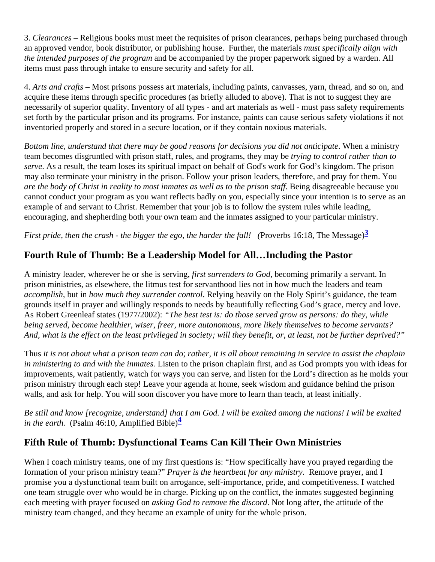3. Clearances – Religious books must meet the requisites of prison clearances, perhaps being purchased through an approved vendor, book distributor, or publishing house. Further, the materials pecifically align with the intended purposes the program and be accompanied by the proper paperwork signed by a warden. All items must pass through intake to ensure security and safety for all.

4. Arts and crafts – Most prisons possess art materials, including paints, canvasses, yarn, thread, and so on, a acquire these items through specific procedures (as briefly alluded to above). That is not to suggest they are necessarily of superior quality. Inventory of all types - and art materials as well - must pass safety requiremer set forth by the particular prison and its programs. For instance, paints can cause serious safety violations if r inventoried properly and stored in a secure location, or if they contain noxious materials.

Bottom line, understand that there may be good reasons for decisions you did not anticipate ministry team becomes disgruntled with prison staff, rules, and programs, they may be control rather than to serve As a result, the team loses its spiritual impact on behalf of God's work for God's kingdom. The prison may also terminate your ministry in the prison. Follow your prison leaders, therefore, and pray for them. You are the body of Christ in reality to most inmates as well as to the prison Bataffy disagreeable because you cannot conduct your program as you want reflects badly on you, especially since your intention is to serve as example of and servant to Christ. Remember that your job is to follow the system rules while leading, encouraging, and shepherding both your own team and the inmates assigned to your particular ministry.

First pride, then the crash - the bigger the ego, the harder the fall bverbs 16:18, The Message)

## Fourth Rule of Thumb: Be a Leadership Model for All…Including the Pastor

A ministry leader, wherever he or she is serving surrenders to Godbecoming primarily a servant. In prison ministries, as elsewhere, the litmus test for servanthood lies not in how much the leaders and team accomplishbut in how much they surrender control elying heavily on the Holy Spirit's guidance, the team grounds itself in prayer and willingly responds to needs by beautifully reflecting God's grace, mercy and love. As Robert Greenleaf states (1977/2002) he best test is: do those served grow as persons: do they, while being served, become healthier, wiser, freer, more autonomous, more likely themselves to become servants? And, what is the effect on the least privileged in society; will they benefit, or, at least, not be further deprived?

Thus it is not about what a prison team can dather, it is all about remaining in service to assist the chaplain in ministering to and with the inmates is the prison chaplain first, and as God prompts you with ideas for improvements, wait patiently, watch for ways you can serve, and listen for the Lord's direction as he molds yo prison ministry through each step! Leave your agenda at home, seek wisdom and guidance behind the prisor walls, and ask for help. You will soon discover you have more to learn than teach, at least initially.

Be still and know [recognize, understand] that I am God. I will be exalted among the nations! I will be exalted in the earth. (Psalm 46:10, Amplified Bible)

# Fifth Rule of Thumb: Dysfunctional Teams Can Kill Their Own Ministries

When I coach ministry teams, one of my first questions is: "How specifically have you prayed regarding the formation of your prison ministry team? Prayer is the heartbeat for any ministr Remove prayer, and I promise you a dysfunctional team built on arrogance, self-importance, pride, and competitiveness. I watched one team struggle over who would be in charge. Picking up on the conflict, the inmates suggested beginning each meeting with prayer focused asking God to remove the discold tong after, the attitude of the ministry team changed, and they became an example of unity for the whole prison.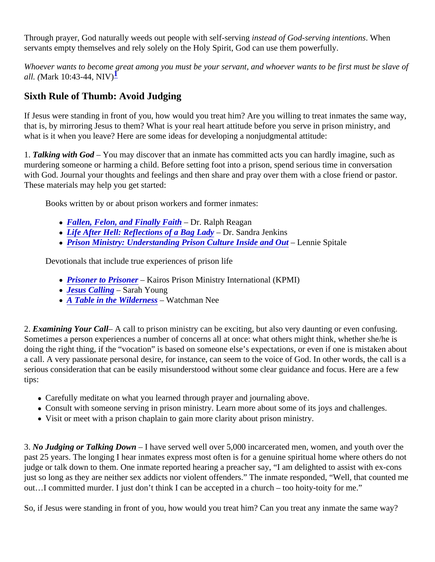Through prayer, God naturally weeds out people with self-seiming of God-serving intention by hen servants empty themselves and rely solely on the Holy Spirit, God can use them powerfully.

Whoever wants to become great among you must be your servant, and whoever wants to be first must be sla all. (Mark 10:43-44, NIV $\frac{1}{7}$ 

# Sixth Rule of Thumb: Avoid Judging

If Jesus were standing in front of you, how would you treat him? Are you willing to treat inmates the same way that is, by mirroring Jesus to them? What is your real heart attitude before you serve in prison ministry, and what is it when you leave? Here are some ideas for developing a nonjudgmental attitude:

1. Talking with God-You may discover that an inmate has committed acts you can hardly imagine, such as murdering someone or harming a child. Before setting foot into a prison, spend serious time in conversation with God. Journal your thoughts and feelings and then share and pray over them with a close friend or pastor. These materials may help you get started:

Books written by or about prison workers and former inmates:

- [Fallen, Felon, and Finally Faith](https://www.amazon.com/Fallen-Felon-Finally-Faith-Reagan/dp/096727916X) Dr. Ralph Reagan
- [Life After Hell: Reflections of a Bag Lad](https://www.amazon.com/Life-After-Hell-Reflections-Lady/dp/0557591007)y– Dr. Sandra Jenkins
- [Prison Ministry: Understanding Prison Culture Inside and O](https://www.amazon.com/Prison-Ministry-Understanding-Culture-Inside/dp/0805424830/)ut Lennie Spitale

Devotionals that include true experiences of prison life

- [Prisoner to Prisone](https://kohlbrand.wordpress.com/2012/08/05/prisoner-to-prisoner-daily-devotional/)r–Kairos Prison Ministry International (KPMI)
- [Jesus Calling](https://www.amazon.com/Jesus-Calling-Enjoying-Peace-Presence/dp/1591451884/) Sarah Young
- [A Table in the Wildernes](https://www.amazon.com/Table-Wilderness-Devotional-Meditations-Ministry/dp/0875086993/)s Watchman Nee

2. Examining Your Call– A call to prison ministry can be exciting, but also very daunting or even confusing. Sometimes a person experiences a number of concerns all at once: what others might think, whether she/he doing the right thing, if the "vocation" is based on someone else's expectations, or even if one is mistaken about a call. A very passionate personal desire, for instance, can seem to the voice of God. In other words, the call serious consideration that can be easily misunderstood without some clear guidance and focus. Here are a fe tips:

- Carefully meditate on what you learned through prayer and journaling above.
- Consult with someone serving in prison ministry. Learn more about some of its joys and challenges.
- Visit or meet with a prison chaplain to gain more clarity about prison ministry.

3. No Judging or Talking Down – I have served well over 5,000 incarcerated men, women, and youth over the past 25 years. The longing I hear inmates express most often is for a genuine spiritual home where others do judge or talk down to them. One inmate reported hearing a preacher say, "I am delighted to assist with ex-cor just so long as they are neither sex addicts nor violent offenders." The inmate responded, "Well, that counted out…I committed murder. I just don't think I can be accepted in a church – too hoity-toity for me."

So, if Jesus were standing in front of you, how would you treat him? Can you treat any inmate the same way?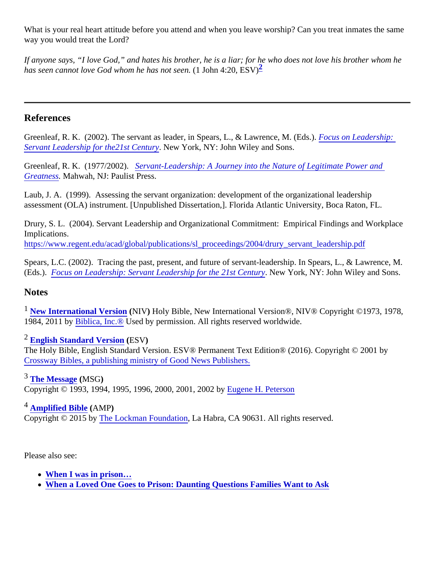What is your real heart attitude before you attend and when you leave worship? Can you treat inmates the same way you would treat the Lord?

If anyone says, "I love God," and hates his brother, he is a liar; for he who does not love his brother whom he has seen cannot love God whom he has not  $\phi$  do hn 4:20, ESV)

#### References

Greenleaf, R. K. (2002). The servant as leader, in Spears, L., & Lawrence, M. (Eds.) on Leadership: Servant Leadership for the 21st Centul tew York, NY: John Wiley and Sons.

Greenleaf, R. K. (1977/2002)Servant-Leadership: A Journey into the Nature of Legitimate Power and [Greatnes](https://www.amazon.com/Servant-Leadership-Legitimate-Greatness-Anniversary/dp/0809105543/)sMahwah, NJ: Paulist Press[.](https://www.amazon.com/Servant-Leadership-Legitimate-Greatness-Anniversary/dp/0809105543/)

Laub, J. A. (1999). Assessing the servant organization: development of the organizational leadership assessment (OLA) instrument. [Unpublished Dissertation,]. Florida Atlantic University, Boca Raton, FL.

Drury, S. L. (2004). Servant Leadership and Organizational Commitment: Empirical Findings and Workplace Implications.

[https://www.regent.edu/acad/global/publications/sl\\_proceedings/2004/drury\\_servant\\_leade](https://www.regent.edu/acad/global/publications/sl_proceedings/2004/drury_servant_leadership.pdf)rship.pdf

Spears, L.C. (2002). Tracing the past, present, and future of servant-leadership. In Spears, L., & Lawrence, I (Eds.). [Focus on Leadership: Servant Leadership for the 21st Ce](https://www.amazon.com/Focus-Leadership-Servant-Leadership-21st-Century/dp/0471411620/)ntury York, NY: John Wiley and Sons.

#### **Notes**

<sup>1</sup> [New International Version](https://www.biblegateway.com/versions/New-International-Version-NIV-Bible/) (NIV) Holy Bible, New International Version®, NIV® Copyright ©1973, 1978, 1984, 2011 b[y Biblica, Inc.®](http://www.biblica.com/) Used by permission. All rights reserved worldwide.

## <sup>2</sup> [English Standard Version](https://www.biblegateway.com/versions/English-Standard-Version-ESV-Bible/) (ESV)

The Holy Bible, English Standard Version. ESV® Permanent Text Edition® (2016). Copyright © 2001 by [Crossway Bibles, a publishing ministry of Good News Publis](http://www.gnpcb.org)hers.

<sup>3</sup> [The Message](https://www.biblegateway.com/versions/Message-MSG-Bible/) (MSG) Copyright © 1993, 1994, 1995, 1996, 2000, 2001, 2002 by ene H. Peterson

<sup>4</sup> [Amplified Bible](https://www.biblegateway.com/versions/Amplified-Bible-AMP/) (AMP)

Copyright © 2015 b[y The Lockman Foundatio](http://www.lockman.org/)n La Habra, CA 90631. All rights reserved.

Please also see:

- [When I was in prison…](/resources/when-i-was-in-prison)
- [When a Loved One Goes to Prison: Daunting Questions Families Want to A](/resources/when-a-loved-one-goes-to-prison-daunting-questions-families-want-to-ask)sk